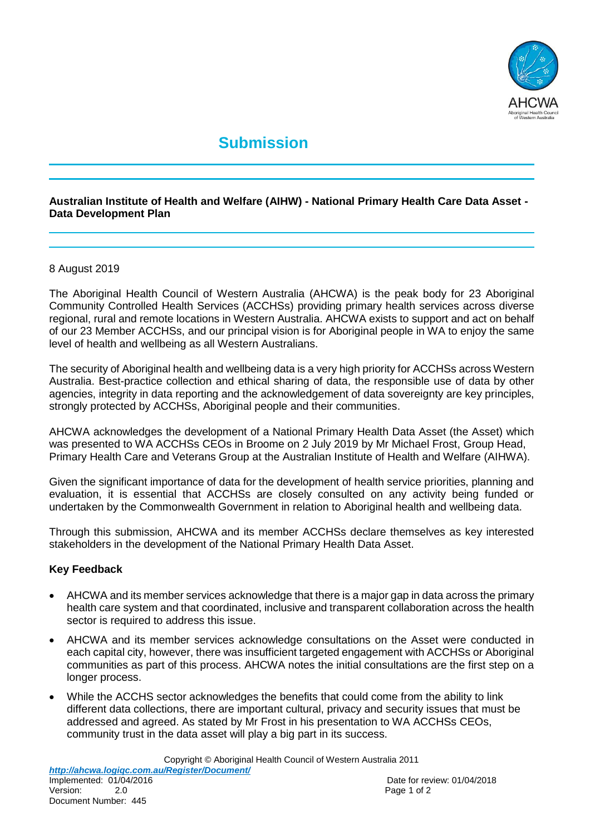

# **Submission**

### **Australian Institute of Health and Welfare (AIHW) - National Primary Health Care Data Asset - Data Development Plan**

#### 8 August 2019

The Aboriginal Health Council of Western Australia (AHCWA) is the peak body for 23 Aboriginal Community Controlled Health Services (ACCHSs) providing primary health services across diverse regional, rural and remote locations in Western Australia. AHCWA exists to support and act on behalf of our 23 Member ACCHSs, and our principal vision is for Aboriginal people in WA to enjoy the same level of health and wellbeing as all Western Australians.

The security of Aboriginal health and wellbeing data is a very high priority for ACCHSs across Western Australia. Best-practice collection and ethical sharing of data, the responsible use of data by other agencies, integrity in data reporting and the acknowledgement of data sovereignty are key principles, strongly protected by ACCHSs, Aboriginal people and their communities.

AHCWA acknowledges the development of a National Primary Health Data Asset (the Asset) which was presented to WA ACCHSs CEOs in Broome on 2 July 2019 by Mr Michael Frost, Group Head, Primary Health Care and Veterans Group at the Australian Institute of Health and Welfare (AIHWA).

Given the significant importance of data for the development of health service priorities, planning and evaluation, it is essential that ACCHSs are closely consulted on any activity being funded or undertaken by the Commonwealth Government in relation to Aboriginal health and wellbeing data.

Through this submission, AHCWA and its member ACCHSs declare themselves as key interested stakeholders in the development of the National Primary Health Data Asset.

#### **Key Feedback**

- AHCWA and its member services acknowledge that there is a major gap in data across the primary health care system and that coordinated, inclusive and transparent collaboration across the health sector is required to address this issue.
- AHCWA and its member services acknowledge consultations on the Asset were conducted in each capital city, however, there was insufficient targeted engagement with ACCHSs or Aboriginal communities as part of this process. AHCWA notes the initial consultations are the first step on a longer process.
- While the ACCHS sector acknowledges the benefits that could come from the ability to link different data collections, there are important cultural, privacy and security issues that must be addressed and agreed. As stated by Mr Frost in his presentation to WA ACCHSs CEOs, community trust in the data asset will play a big part in its success.